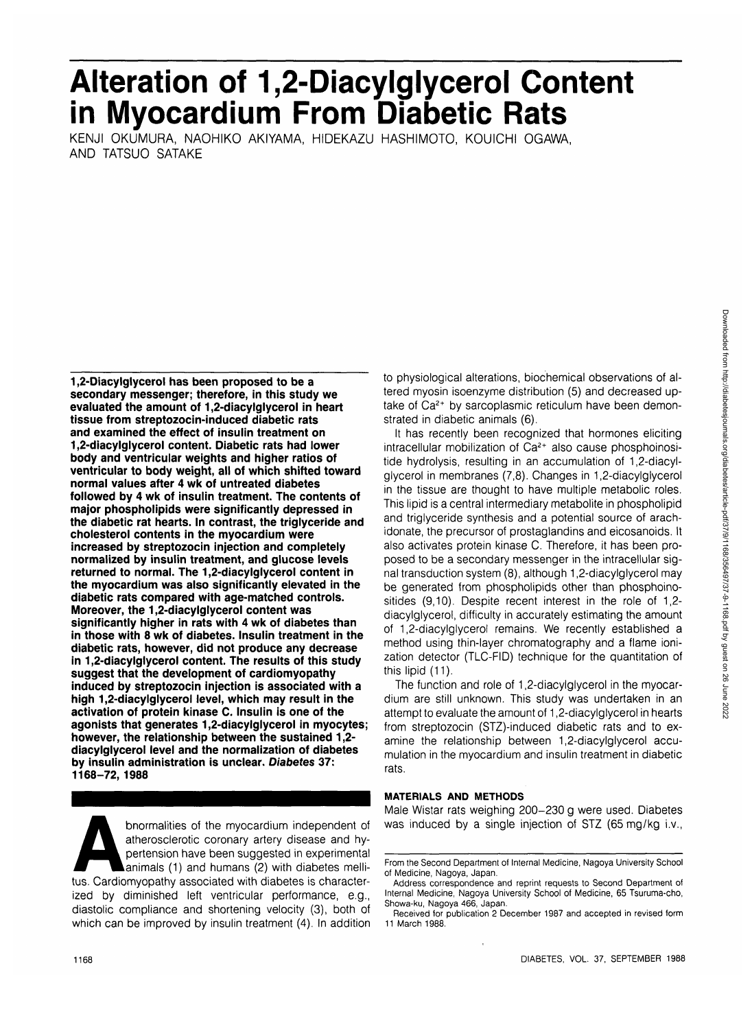# **Alteration of 1,2-Diacylglycerol Content in Myocardium From Diabetic Rats**

KENJI OKUMURA, NAOHIKO AKIYAMA, HIDEKAZU HASHIMOTO, KOUICHI OGAWA, AND TATSUO SATAKE

**1,2-Diacylglycerol has been proposed to be a secondary messenger; therefore, in this study we evaluated the amount of 1,2-diacylglycerol in heart tissue from streptozocin-induced diabetic rats and examined the effect of insulin treatment on 1,2-diacylglycerol content. Diabetic rats had lower body and ventricular weights and higher ratios of ventricular to body weight, all of which shifted toward normal values after 4 wk of untreated diabetes followed by 4 wk of insulin treatment. The contents of major phospholipids were significantly depressed in the diabetic rat hearts. In contrast, the triglyceride and cholesterol contents in the myocardium were increased by streptozocin injection and completely normalized by insulin treatment, and glucose levels returned to normal. The 1,2-diacylglycerol content in the myocardium was also significantly elevated in the diabetic rats compared with age-matched controls. Moreover, the 1,2-diacylglycerol content was significantly higher in rats with 4 wk of diabetes than in those with 8 wk of diabetes. Insulin treatment in the diabetic rats, however, did not produce any decrease in 1,2-diacylglycerol content. The results of this study suggest that the development of cardiomyopathy induced by streptozocin injection is associated with a high 1,2-diacylglycerol level, which may result in the activation of protein kinase C. Insulin is one of the agonists that generates 1,2-diacylglycerol in myocytes; however, the relationship between the sustained 1,2 diacylglycerol level and the normalization of diabetes by insulin administration is unclear. Diabetes 37: 1168-72, 1988**

bnormalities of the myocardium independent of atherosclerotic coronary artery disease and hypertension have been suggested in experimental animals (1) and humans (2) with diabetes mellitus. Cardiomyopathy associated with d atherosclerotic coronary artery disease and hypertension have been suggested in experimental animals (1) and humans (2) with diabetes melliized by diminished left ventricular performance, e.g., diastolic compliance and shortening velocity (3), both of which can be improved by insulin treatment (4). In addition to physiological alterations, biochemical observations of altered myosin isoenzyme distribution (5) and decreased uptake of Ca<sup>2+</sup> by sarcoplasmic reticulum have been demonstrated in diabetic animals (6).

It has recently been recognized that hormones eliciting intracellular mobilization of Ca<sup>2+</sup> also cause phosphoinositide hydrolysis, resulting in an accumulation of 1,2-diacylglycerol in membranes (7,8). Changes in 1,2-diacylglycerol in the tissue are thought to have multiple metabolic roles. This lipid is a central intermediary metabolite in phospholipid and triglyceride synthesis and a potential source of arachidonate, the precursor of prostaglandins and eicosanoids. It also activates protein kinase C. Therefore, it has been proposed to be a secondary messenger in the intracellular signal transduction system (8), although 1,2-diacylglycerol may be generated from phospholipids other than phosphoinositides (9,10). Despite recent interest in the role of 1,2 diacylglycerol, difficulty in accurately estimating the amount of 1,2-diacylglycerol remains. We recently established a method using thin-layer chromatography and a flame ionization detector (TLC-FID) technique for the quantitation of this lipid (11).

The function and role of 1,2-diacylglycerol in the myocardium are still unknown. This study was undertaken in an attempt to evaluate the amount of 1,2-diacylglycerol in hearts from streptozocin (STZ)-induced diabetic rats and to examine the relationship between 1,2-diacylglycerol accumulation in the myocardium and insulin treatment in diabetic rats.

# **MATERIALS AND METHODS**

Male Wistar rats weighing 200-230 g were used. Diabetes was induced by a single injection of STZ (65 mg/kg i.v.,

From the Second Department of Internal Medicine, Nagoya University School of Medicine, Nagoya, Japan.

Address correspondence and reprint requests to Second Department of Internal Medicine, Nagoya University School of Medicine, 65 Tsuruma-cho, Showa-ku, Nagoya 466, Japan.

Received for publication 2 December 1987 and accepted in revised form 11 March 1988.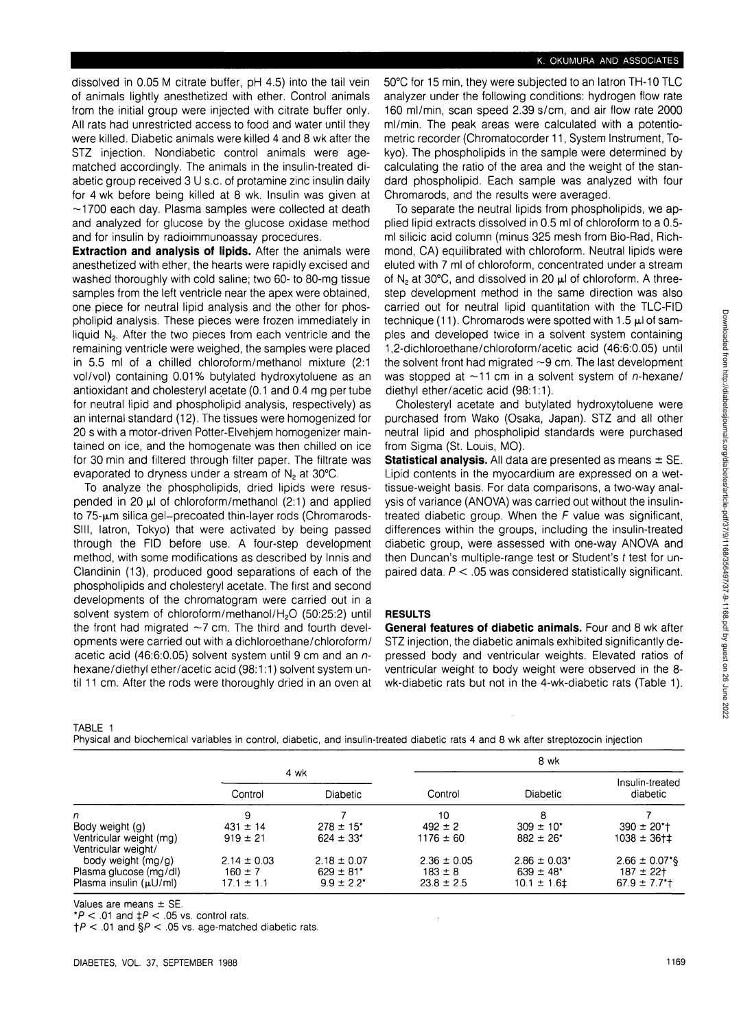# K. OKUMURA AND ASSOCIATES

dissolved in 0.05 M citrate buffer, pH 4.5) into the tail vein of animals lightly anesthetized with ether. Control animals from the initial group were injected with citrate buffer only. All rats had unrestricted access to food and water until they were killed. Diabetic animals were killed 4 and 8 wk after the STZ injection. Nondiabetic control animals were agematched accordingly. The animals in the insulin-treated diabetic group received 3 U s.c. of protamine zinc insulin daily for 4 wk before being killed at 8 wk. Insulin was given at  $\sim$ 1700 each day. Plasma samples were collected at death and analyzed for glucose by the glucose oxidase method and for insulin by radioimmunoassay procedures.

**Extraction and analysis of lipids.** After the animals were anesthetized with ether, the hearts were rapidly excised and washed thoroughly with cold saline; two 60- to 80-mg tissue samples from the left ventricle near the apex were obtained, one piece for neutral lipid analysis and the other for phospholipid analysis. These pieces were frozen immediately in liquid  $N<sub>2</sub>$ . After the two pieces from each ventricle and the remaining ventricle were weighed, the samples were placed in 5.5 ml of a chilled chloroform/methanol mixture (2:1 vol/vol) containing 0.01% butylated hydroxytoluene as an antioxidant and cholesteryl acetate (0.1 and 0.4 mg per tube for neutral lipid and phospholipid analysis, respectively) as an internal standard (12). The tissues were homogenized for 20 s with a motor-driven Potter-Elvehjem homogenizer maintained on ice, and the homogenate was then chilled on ice for 30 min and filtered through filter paper. The filtrate was evaporated to dryness under a stream of  $N_2$  at 30°C.

To analyze the phospholipids, dried lipids were resuspended in 20  $\mu$ l of chloroform/methanol (2:1) and applied to 75-um silica gel-precoated thin-layer rods (Chromarods-Slll, latron, Tokyo) that were activated by being passed through the FID before use. A four-step development method, with some modifications as described by Innis and Clandinin (13), produced good separations of each of the phospholipids and cholesteryl acetate. The first and second developments of the chromatogram were carried out in a solvent system of chloroform/methanol/H<sub>2</sub>O (50:25:2) until the front had migrated  $\sim$ 7 cm. The third and fourth developments were carried out with a dichloroethane/chloroform/ acetic acid (46:6:0.05) solvent system until 9 cm and an nhexane/diethyl ether/acetic acid (98:1:1) solvent system until 11 cm. After the rods were thoroughly dried in an oven at 50°C for 15 min, they were subjected to an latron TH-10 TLC analyzer under the following conditions: hydrogen flow rate 160 ml/min, scan speed 2.39 s/cm, and air flow rate 2000 ml/min. The peak areas were calculated with a potentiometric recorder (Chromatocorder 11, System Instrument, Tokyo). The phospholipids in the sample were determined by calculating the ratio of the area and the weight of the standard phospholipid. Each sample was analyzed with four Chromarods, and the results were averaged.

To separate the neutral lipids from phospholipids, we applied lipid extracts dissolved in 0.5 ml of chloroform to a 0.5 ml silicic acid column (minus 325 mesh from Bio-Rad, Richmond, CA) equilibrated with chloroform. Neutral lipids were eluted with 7 ml of chloroform, concentrated under a stream of  $N<sub>2</sub>$  at 30°C, and dissolved in 20  $\mu$ l of chloroform. A threestep development method in the same direction was also carried out for neutral lipid quantitation with the TLC-FID technique (11). Chromarods were spotted with 1.5  $\mu$ l of samples and developed twice in a solvent system containing 1,2-dichloroethane/chloroform/acetic acid (46:6:0.05) until the solvent front had migrated  $\sim$ 9 cm. The last development was stopped at  $\sim$ 11 cm in a solvent system of *n*-hexane/ diethyl ether/acetic acid (98:1:1).

Cholesteryl acetate and butylated hydroxytoluene were purchased from Wako (Osaka, Japan). STZ and all other neutral lipid and phospholipid standards were purchased from Sigma (St. Louis, MO).

**Statistical analysis.** All data are presented as means ± SE. Lipid contents in the myocardium are expressed on a wettissue-weight basis. For data comparisons, a two-way analysis of variance (ANOVA) was carried out without the insulintreated diabetic group. When the  $F$  value was significant, differences within the groups, including the insulin-treated diabetic group, were assessed with one-way ANOVA and then Duncan's multiple-range test or Student's t test for unpaired data.  $P < 05$  was considered statistically significant.

## **RESULTS**

**General features of diabetic animals.** Four and 8 wk after STZ injection, the diabetic animals exhibited significantly depressed body and ventricular weights. Elevated ratios of ventricular weight to body weight were observed in the 8 wk-diabetic rats but not in the 4-wk-diabetic rats (Table 1).

TABLE 1 Physical and biochemical variables in control, diabetic, and insulin-treated diabetic rats 4 and 8 wk after streptozocin injection

|                                                |                 |                           |                 |                   | 8 wk                            |  |
|------------------------------------------------|-----------------|---------------------------|-----------------|-------------------|---------------------------------|--|
|                                                | 4 wk            |                           |                 |                   | Insulin-treated                 |  |
|                                                | Control         | <b>Diabetic</b>           | Control         | <b>Diabetic</b>   | diabetic                        |  |
| n                                              | 9               |                           | 10              |                   |                                 |  |
| Body weight (g)                                | $431 \pm 14$    | $278 \pm 15$ <sup>*</sup> | $492 \pm 2$     | $309 \pm 10^*$    | $390 \pm 20$ <sup>*</sup> t     |  |
| Ventricular weight (mg)<br>Ventricular weight/ | $919 \pm 21$    | $624 \pm 33$ *            | $1176 \pm 60$   | $882 \pm 26$ *    | $1038 \pm 36$ t $\pm$           |  |
| body weight (mg/g)                             | $2.14 \pm 0.03$ | $2.18 \pm 0.07$           | $2.36 \pm 0.05$ | $2.86 \pm 0.03^*$ | $2.66 \pm 0.07$ <sup>*</sup> \$ |  |
| Plasma glucose (mg/dl)                         | $160 \pm 7$     | $629 \pm 81$ <sup>*</sup> | $183 \pm 8$     | $639 \pm 48^*$    | $187 + 22$                      |  |
| Plasma insulin (µU/ml)                         | $17.1 \pm 1.1$  | $9.9 \pm 2.2^*$           | $23.8 \pm 2.5$  | $10.1 \pm 1.61$   | $67.9 \pm 7.7$ <sup>*+</sup>    |  |

Values are means ± SE.

\*P < .01 and  $\ddagger$ P < .05 vs. control rats.

 $\uparrow$ P < .01 and §P < .05 vs. age-matched diabetic rats.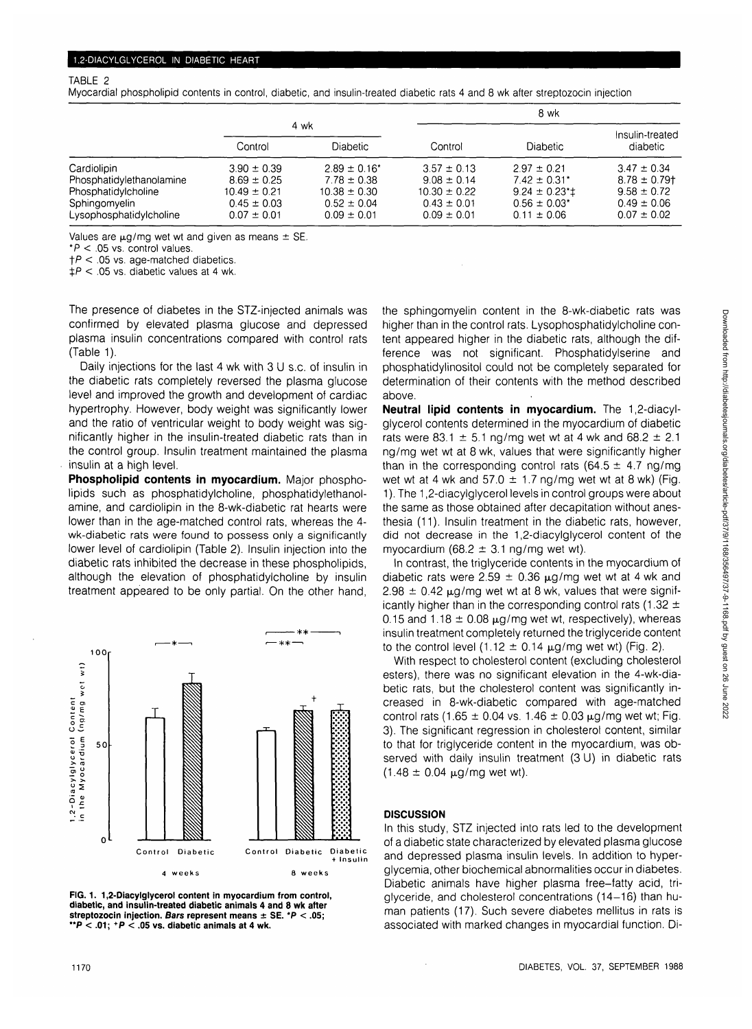# TABLE 2

Myocardial phospholipid contents in control, diabetic, and insulin-treated diabetic rats 4 and 8 wk after streptozocin injection

|                          |                  |                   | 8 wk             |                              |                   |
|--------------------------|------------------|-------------------|------------------|------------------------------|-------------------|
|                          | 4 wk             |                   |                  |                              | Insulin-treated   |
|                          | Control          | <b>Diabetic</b>   | Control          | <b>Diabetic</b>              | diabetic          |
| Cardiolipin              | $3.90 \pm 0.39$  | $2.89 \pm 0.16^*$ | $3.57 \pm 0.13$  | $2.97 \pm 0.21$              | $3.47 \pm 0.34$   |
| Phosphatidylethanolamine | $8.69 \pm 0.25$  | $7.78 \pm 0.38$   | $9.08 \pm 0.14$  | $7.42 \pm 0.31$ *            | $8.78 \pm 0.79$ † |
| Phosphatidylcholine      | $10.49 \pm 0.21$ | $10.38 \pm 0.30$  | $10.30 \pm 0.22$ | $9.24 \pm 0.23$ <sup>*</sup> | $9.58 \pm 0.72$   |
| Sphingomyelin            | $0.45 \pm 0.03$  | $0.52 \pm 0.04$   | $0.43 \pm 0.01$  | $0.56 \pm 0.03$ <sup>*</sup> | $0.49 \pm 0.06$   |
| Lysophosphatidylcholine  | $0.07 \pm 0.01$  | $0.09 \pm 0.01$   | $0.09 \pm 0.01$  | $0.11 \pm 0.06$              | $0.07 \pm 0.02$   |

Values are  $\mu$ g/mg wet wt and given as means  $\pm$  SE.

 $*P < .05$  vs. control values.

 $\uparrow$  P < .05 vs. age-matched diabetics.

 $\uparrow$ P < .05 vs. diabetic values at 4 wk.

The presence of diabetes in the STZ-injected animals was confirmed by elevated plasma glucose and depressed plasma insulin concentrations compared with control rats (Table 1).

Daily injections for the last 4 wk with 3 U s.c. of insulin in the diabetic rats completely reversed the plasma glucose level and improved the growth and development of cardiac hypertrophy. However, body weight was significantly lower and the ratio of ventricular weight to body weight was significantly higher in the insulin-treated diabetic rats than in the control group. Insulin treatment maintained the plasma insulin at a high level.

**Phospholipid contents in myocardium.** Major phospholipids such as phosphatidylcholine, phosphatidylethanolamine, and cardiolipin in the 8-wk-diabetic rat hearts were lower than in the age-matched control rats, whereas the 4 wk-diabetic rats were found to possess only a significantly lower level of cardiolipin (Table 2). Insulin injection into the diabetic rats inhibited the decrease in these phospholipids, although the elevation of phosphatidylcholine by insulin treatment appeared to be only partial. On the other hand,



**FIG. 1. 1,2-Diacylglycerol content in myocardium from control, diabetic, and insulin-treated diabetic animals 4 and 8 wk after streptozocin injection. Bars represent means ± SE. \*P < .05; " P < .01; +P < .05 vs. diabetic animals at 4 wk.**

the sphingomyelin content in the 8-wk-diabetic rats was higher than in the control rats. Lysophosphatidylcholine content appeared higher in the diabetic rats, although the difference was not significant. Phosphatidylserine and phosphatidylinositol could not be completely separated for determination of their contents with the method described above.

**Neutral lipid contents in myocardium.** The 1,2-diacylglycerol contents determined in the myocardium of diabetic rats were 83.1  $\pm$  5.1 ng/mg wet wt at 4 wk and 68.2  $\pm$  2.1 ng/mg wet wt at 8 wk, values that were significantly higher than in the corresponding control rats (64.5  $\pm$  4.7 ng/mg) wet wt at 4 wk and 57.0  $\pm$  1.7 ng/mg wet wt at 8 wk) (Fig. 1). The 1,2-diacylglycerol levels in control groups were about the same as those obtained after decapitation without anesthesia (11). Insulin treatment in the diabetic rats, however, did not decrease in the 1,2-diacylglycerol content of the myocardium (68.2  $\pm$  3.1 ng/mg wet wt).

In contrast, the triglyceride contents in the myocardium of diabetic rats were 2.59  $\pm$  0.36  $\mu$ g/mg wet wt at 4 wk and 2.98  $\pm$  0.42  $\mu$ g/mg wet wt at 8 wk, values that were significantly higher than in the corresponding control rats (1.32  $\pm$ 0.15 and 1.18  $\pm$  0.08  $\mu$ g/mg wet wt, respectively), whereas insulin treatment completely returned the triglyceride content to the control level (1.12  $\pm$  0.14  $\mu$ g/mg wet wt) (Fig. 2).

With respect to cholesterol content (excluding cholesterol esters), there was no significant elevation in the 4-wk-diabetic rats, but the cholesterol content was significantly increased in 8-wk-diabetic compared with age-matched control rats (1.65  $\pm$  0.04 vs. 1.46  $\pm$  0.03  $\mu$ g/mg wet wt; Fig. 3). The significant regression in cholesterol content, similar to that for triglyceride content in the myocardium, was observed with daily insulin treatment (3 U) in diabetic rats  $(1.48 \pm 0.04 \,\mu\text{g/mg}$  wet wt).

# **DISCUSSION**

In this study, STZ injected into rats led to the development of a diabetic state characterized by elevated plasma glucose and depressed plasma insulin levels. In addition to hyperglycemia, other biochemical abnormalities occur in diabetes. Diabetic animals have higher plasma free-fatty acid, triglyceride, and cholesterol concentrations (14-16) than human patients (17). Such severe diabetes mellitus in rats is associated with marked changes in myocardial function. Di-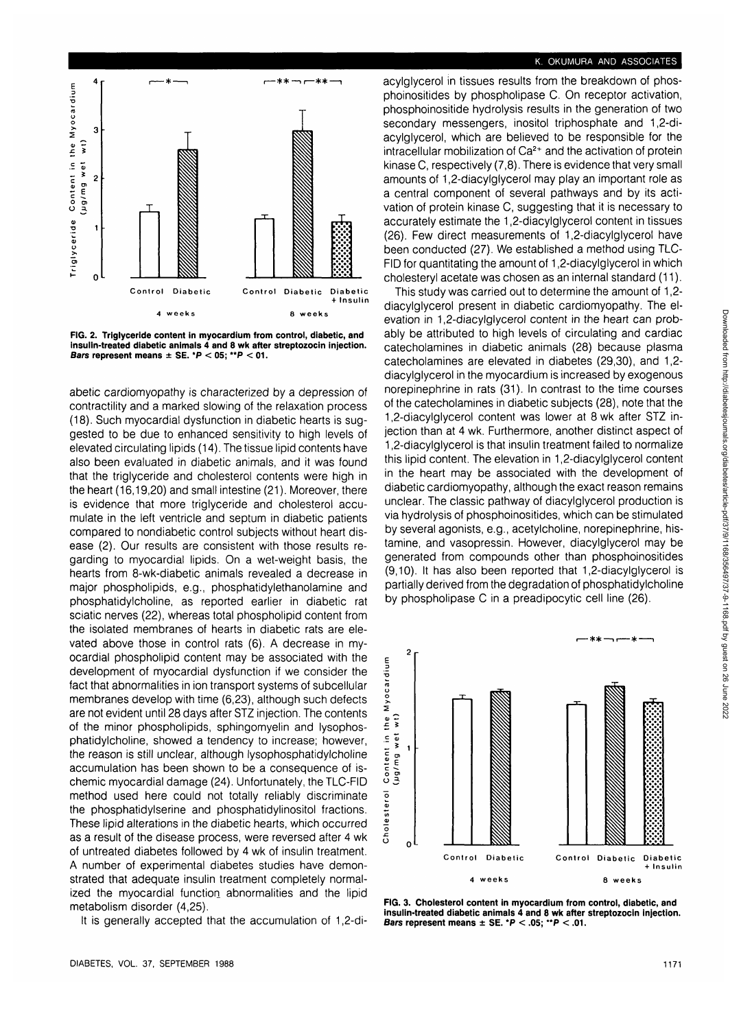

**FIG. 2. Triglyceride content in myocardium from control, diabetic, and insulin-treated diabetic animals 4 and 8 wk after streptozocin injection. Bars represent means ± SE. \*P < 05; \*\*P < 01.**

abetic cardiomyopathy is characterized by a depression of contractility and a marked slowing of the relaxation process (18). Such myocardial dysfunction in diabetic hearts is suggested to be due to enhanced sensitivity to high levels of elevated circulating lipids (14). The tissue lipid contents have also been evaluated in diabetic animals, and it was found that the triglyceride and cholesterol contents were high in the heart (16,19,20) and small intestine (21). Moreover, there is evidence that more triglyceride and cholesterol accumulate in the left ventricle and septum in diabetic patients compared to nondiabetic control subjects without heart disease (2). Our results are consistent with those results regarding to myocardial lipids. On a wet-weight basis, the hearts from 8-wk-diabetic animals revealed a decrease in major phospholipids, e.g., phosphatidylethanolamine and phosphatidylcholine, as reported earlier in diabetic rat sciatic nerves (22), whereas total phospholipid content from the isolated membranes of hearts in diabetic rats are elevated above those in control rats (6). A decrease in myocardial phospholipid content may be associated with the development of myocardial dysfunction if we consider the fact that abnormalities in ion transport systems of subcellular membranes develop with time (6,23), although such defects are not evident until 28 days after STZ injection. The contents of the minor phospholipids, sphingomyelin and lysophosphatidylcholine, showed a tendency to increase; however, the reason is still unclear, although lysophosphatidylcholine accumulation has been shown to be a consequence of ischemic myocardial damage (24). Unfortunately, the TLC-FID method used here could not totally reliably discriminate the phosphatidylserine and phosphatidylinositol fractions. These lipid alterations in the diabetic hearts, which occurred as a result of the disease process, were reversed after 4 wk of untreated diabetes followed by 4 wk of insulin treatment. A number of experimental diabetes studies have demonstrated that adequate insulin treatment completely normalized the myocardial function abnormalities and the lipid metabolism disorder (4,25).

It is generally accepted that the accumulation of 1,2-di-

# **K. OKUMURA AND ASSOCIATES**

acylglycerol in tissues results from the breakdown of phosphoinositides by phospholipase C. On receptor activation, phosphoinositide hydrolysis results in the generation of two secondary messengers, inositol triphosphate and 1,2-diacylglycerol, which are believed to be responsible for the intracellular mobilization of Ca<sup>2+</sup> and the activation of protein kinase C, respectively (7,8). There is evidence that very small amounts of 1,2-diacylglycerol may play an important role as a central component of several pathways and by its activation of protein kinase C, suggesting that it is necessary to accurately estimate the 1,2-diacylglycerol content in tissues (26). Few direct measurements of 1,2-diacylglycerol have been conducted (27). We established a method using TLC-FID for quantitating the amount of 1,2-diacylglycerol in which cholesteryl acetate was chosen as an internal standard (11).

This study was carried out to determine the amount of 1,2 diacylglycerol present in diabetic cardiomyopathy. The elevation in 1,2-diacylglycerol content in the heart can probably be attributed to high levels of circulating and cardiac catecholamines in diabetic animals (28) because plasma catecholamines are elevated in diabetes (29,30), and 1,2 diacylglycerol in the myocardium is increased by exogenous norepinephrine in rats (31). In contrast to the time courses of the catecholamines in diabetic subjects (28), note that the 1,2-diacylglycerol content was lower at 8 wk after STZ injection than at 4 wk. Furthermore, another distinct aspect of 1,2-diacylglycerol is that insulin treatment failed to normalize this lipid content. The elevation in 1,2-diacylglycerol content in the heart may be associated with the development of diabetic cardiomyopathy, although the exact reason remains unclear. The classic pathway of diacylglycerol production is via hydrolysis of phosphoinositides, which can be stimulated by several agonists, e.g., acetylcholine, norepinephrine, histamine, and vasopressin. However, diacylglycerol may be generated from compounds other than phosphoinositides (9,10). It has also been reported that 1,2-diacylglycerol is partially derived from the degradation of phosphatidylcholine by phospholipase C in a preadipocytic cell line (26).



**FIG. 3. Cholesterol content in myocardium from control, diabetic, and insulin-treated diabetic animals 4 and 8 wk after streptozocin injection. Bars represent means ± SE. \*P < .05; \*\*P < .01.**